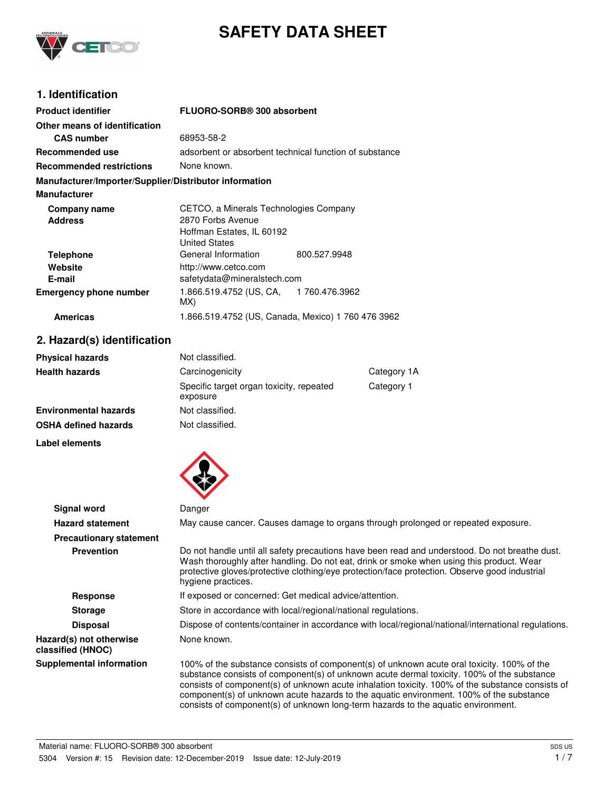

# **SAFETY DATA SHEET**

# **1. Identification**

| <b>Product identifier</b>                              | FLUORO-SORB® 300 absorbent                             |  |
|--------------------------------------------------------|--------------------------------------------------------|--|
| Other means of identification                          |                                                        |  |
| <b>CAS</b> number                                      | 68953-58-2                                             |  |
| Recommended use                                        | adsorbent or absorbent technical function of substance |  |
| <b>Recommended restrictions</b>                        | None known.                                            |  |
| Manufacturer/Importer/Supplier/Distributor information |                                                        |  |
| <b>Manufacturer</b>                                    |                                                        |  |
| Company name                                           | CETCO, a Minerals Technologies Company                 |  |
| <b>Address</b>                                         | 2870 Forbs Avenue                                      |  |
|                                                        | Hoffman Estates, IL 60192                              |  |
|                                                        | <b>United States</b>                                   |  |
| <b>Telephone</b>                                       | General Information<br>800.527.9948                    |  |
| Website                                                | http://www.cetco.com                                   |  |
| E-mail                                                 | safetydata@mineralstech.com                            |  |
| <b>Emergency phone number</b>                          | 1.866.519.4752 (US, CA, 1760.476.3962<br>MX)           |  |
| <b>Americas</b>                                        | 1.866.519.4752 (US, Canada, Mexico) 1 760 476 3962     |  |

# **2. Hazard(s) identification**

| <b>Physical hazards</b> | Not classified.                                      |             |
|-------------------------|------------------------------------------------------|-------------|
| Health hazards          | Carcinogenicity                                      | Category 1A |
|                         | Specific target organ toxicity, repeated<br>exposure | Category 1  |
| Environmental hazards   | Not classified.                                      |             |
| OSHA defined hazards    | Not classified.                                      |             |
|                         |                                                      |             |

**Label elements**



| <b>Signal word</b>                           | Danger                                                                                                                                                                                                                                                                                                                                                                                                                                                                       |  |
|----------------------------------------------|------------------------------------------------------------------------------------------------------------------------------------------------------------------------------------------------------------------------------------------------------------------------------------------------------------------------------------------------------------------------------------------------------------------------------------------------------------------------------|--|
| <b>Hazard statement</b>                      | May cause cancer. Causes damage to organs through prolonged or repeated exposure.                                                                                                                                                                                                                                                                                                                                                                                            |  |
| <b>Precautionary statement</b>               |                                                                                                                                                                                                                                                                                                                                                                                                                                                                              |  |
| <b>Prevention</b>                            | Do not handle until all safety precautions have been read and understood. Do not breathe dust.<br>Wash thoroughly after handling. Do not eat, drink or smoke when using this product. Wear<br>protective gloves/protective clothing/eye protection/face protection. Observe good industrial<br>hygiene practices.                                                                                                                                                            |  |
| Response                                     | If exposed or concerned: Get medical advice/attention.                                                                                                                                                                                                                                                                                                                                                                                                                       |  |
| <b>Storage</b>                               | Store in accordance with local/regional/national regulations.                                                                                                                                                                                                                                                                                                                                                                                                                |  |
| <b>Disposal</b>                              | Dispose of contents/container in accordance with local/regional/national/international regulations.                                                                                                                                                                                                                                                                                                                                                                          |  |
| Hazard(s) not otherwise<br>classified (HNOC) | None known.                                                                                                                                                                                                                                                                                                                                                                                                                                                                  |  |
| <b>Supplemental information</b>              | 100% of the substance consists of component(s) of unknown acute oral toxicity. 100% of the<br>substance consists of component(s) of unknown acute dermal toxicity. 100% of the substance<br>consists of component(s) of unknown acute inhalation toxicity. 100% of the substance consists of<br>component(s) of unknown acute hazards to the aquatic environment. 100% of the substance<br>consists of component(s) of unknown long-term hazards to the aquatic environment. |  |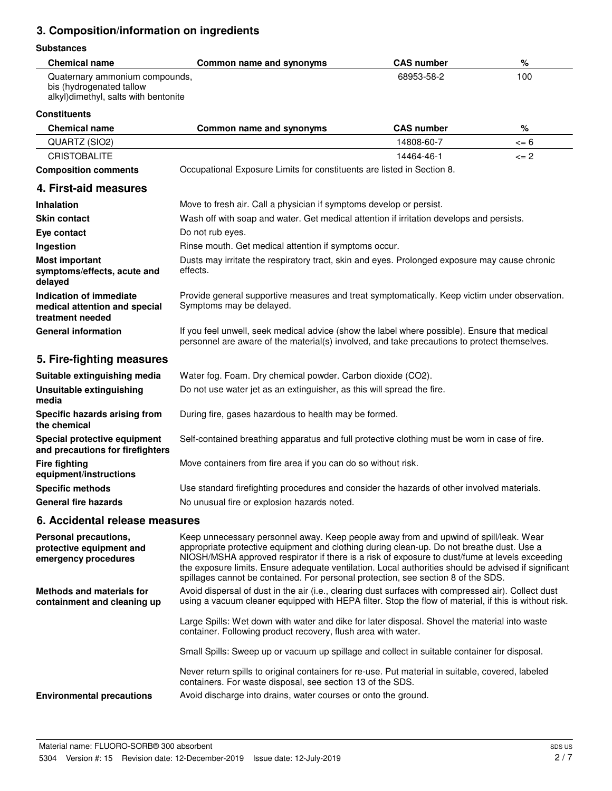# **3. Composition/information on ingredients**

## **Substances**

| <b>Chemical name</b>                                                                               | Common name and synonyms | <b>CAS number</b> | %   |
|----------------------------------------------------------------------------------------------------|--------------------------|-------------------|-----|
| Quaternary ammonium compounds,<br>bis (hydrogenated tallow<br>alkyl)dimethyl, salts with bentonite |                          | 68953-58-2        | 100 |

#### **Constituents**

| <b>Chemical name</b>                                                         | Common name and synonyms                                                                                                                                                                                                                                                                                                                                                                                                                                                          | <b>CAS number</b> | %        |
|------------------------------------------------------------------------------|-----------------------------------------------------------------------------------------------------------------------------------------------------------------------------------------------------------------------------------------------------------------------------------------------------------------------------------------------------------------------------------------------------------------------------------------------------------------------------------|-------------------|----------|
| QUARTZ (SIO2)                                                                |                                                                                                                                                                                                                                                                                                                                                                                                                                                                                   | 14808-60-7        | <= 6     |
| <b>CRISTOBALITE</b>                                                          |                                                                                                                                                                                                                                                                                                                                                                                                                                                                                   | 14464-46-1        | $\leq$ 2 |
| <b>Composition comments</b>                                                  | Occupational Exposure Limits for constituents are listed in Section 8.                                                                                                                                                                                                                                                                                                                                                                                                            |                   |          |
| 4. First-aid measures                                                        |                                                                                                                                                                                                                                                                                                                                                                                                                                                                                   |                   |          |
| <b>Inhalation</b>                                                            | Move to fresh air. Call a physician if symptoms develop or persist.                                                                                                                                                                                                                                                                                                                                                                                                               |                   |          |
| <b>Skin contact</b>                                                          | Wash off with soap and water. Get medical attention if irritation develops and persists.                                                                                                                                                                                                                                                                                                                                                                                          |                   |          |
| Eye contact                                                                  | Do not rub eyes.                                                                                                                                                                                                                                                                                                                                                                                                                                                                  |                   |          |
| Ingestion                                                                    | Rinse mouth. Get medical attention if symptoms occur.                                                                                                                                                                                                                                                                                                                                                                                                                             |                   |          |
| <b>Most important</b><br>symptoms/effects, acute and<br>delayed              | Dusts may irritate the respiratory tract, skin and eyes. Prolonged exposure may cause chronic<br>effects.                                                                                                                                                                                                                                                                                                                                                                         |                   |          |
| Indication of immediate<br>medical attention and special<br>treatment needed | Provide general supportive measures and treat symptomatically. Keep victim under observation.<br>Symptoms may be delayed.                                                                                                                                                                                                                                                                                                                                                         |                   |          |
| <b>General information</b>                                                   | If you feel unwell, seek medical advice (show the label where possible). Ensure that medical<br>personnel are aware of the material(s) involved, and take precautions to protect themselves.                                                                                                                                                                                                                                                                                      |                   |          |
| 5. Fire-fighting measures                                                    |                                                                                                                                                                                                                                                                                                                                                                                                                                                                                   |                   |          |
| Suitable extinguishing media                                                 | Water fog. Foam. Dry chemical powder. Carbon dioxide (CO2).                                                                                                                                                                                                                                                                                                                                                                                                                       |                   |          |
| Unsuitable extinguishing<br>media                                            | Do not use water jet as an extinguisher, as this will spread the fire.                                                                                                                                                                                                                                                                                                                                                                                                            |                   |          |
| Specific hazards arising from<br>the chemical                                | During fire, gases hazardous to health may be formed.                                                                                                                                                                                                                                                                                                                                                                                                                             |                   |          |
| Special protective equipment<br>and precautions for firefighters             | Self-contained breathing apparatus and full protective clothing must be worn in case of fire.                                                                                                                                                                                                                                                                                                                                                                                     |                   |          |
| <b>Fire fighting</b><br>equipment/instructions                               | Move containers from fire area if you can do so without risk.                                                                                                                                                                                                                                                                                                                                                                                                                     |                   |          |
| <b>Specific methods</b>                                                      | Use standard firefighting procedures and consider the hazards of other involved materials.                                                                                                                                                                                                                                                                                                                                                                                        |                   |          |
| <b>General fire hazards</b>                                                  | No unusual fire or explosion hazards noted.                                                                                                                                                                                                                                                                                                                                                                                                                                       |                   |          |
| 6. Accidental release measures                                               |                                                                                                                                                                                                                                                                                                                                                                                                                                                                                   |                   |          |
| Personal precautions,<br>protective equipment and<br>emergency procedures    | Keep unnecessary personnel away. Keep people away from and upwind of spill/leak. Wear<br>appropriate protective equipment and clothing during clean-up. Do not breathe dust. Use a<br>NIOSH/MSHA approved respirator if there is a risk of exposure to dust/fume at levels exceeding<br>the exposure limits. Ensure adequate ventilation. Local authorities should be advised if significant<br>spillages cannot be contained. For personal protection, see section 8 of the SDS. |                   |          |
| <b>Methods and materials for</b><br>containment and cleaning up              | Avoid dispersal of dust in the air (i.e., clearing dust surfaces with compressed air). Collect dust<br>using a vacuum cleaner equipped with HEPA filter. Stop the flow of material, if this is without risk.                                                                                                                                                                                                                                                                      |                   |          |
|                                                                              | Large Spills: Wet down with water and dike for later disposal. Shovel the material into waste<br>container. Following product recovery, flush area with water.                                                                                                                                                                                                                                                                                                                    |                   |          |
|                                                                              | Small Spills: Sweep up or vacuum up spillage and collect in suitable container for disposal.                                                                                                                                                                                                                                                                                                                                                                                      |                   |          |
|                                                                              |                                                                                                                                                                                                                                                                                                                                                                                                                                                                                   |                   |          |

**Environmental precautions** Avoid discharge into drains, water courses or onto the ground.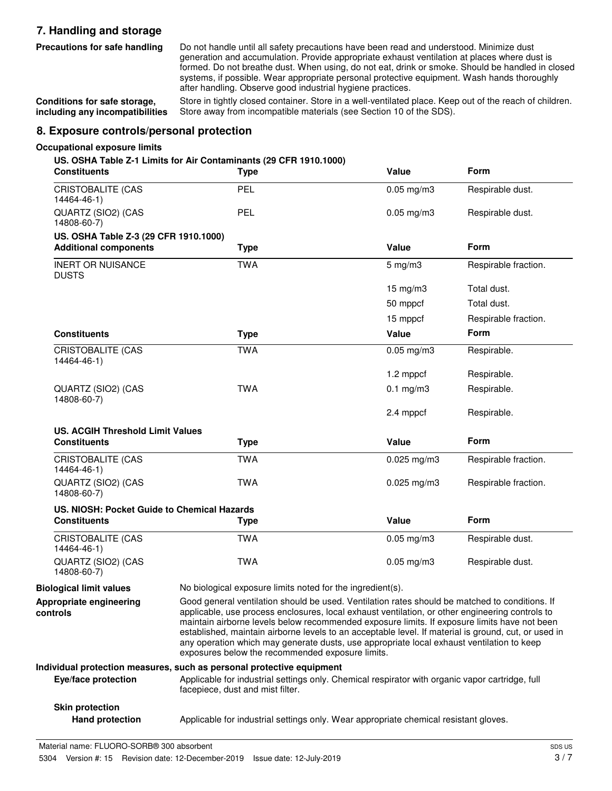# **7. Handling and storage**

**Precautions for safe handling**

Do not handle until all safety precautions have been read and understood. Minimize dust generation and accumulation. Provide appropriate exhaust ventilation at places where dust is formed. Do not breathe dust. When using, do not eat, drink or smoke. Should be handled in closed systems, if possible. Wear appropriate personal protective equipment. Wash hands thoroughly after handling. Observe good industrial hygiene practices.

**Conditions for safe storage, including any incompatibilities**

Store in tightly closed container. Store in a well-ventilated place. Keep out of the reach of children. Store away from incompatible materials (see Section 10 of the SDS).

# **8. Exposure controls/personal protection**

#### **Occupational exposure limits**

#### **US. OSHA Table Z-1 Limits for Air Contaminants (29 CFR 1910.1000)**

| <b>Constituents</b>                                                   | <b>Type</b>                                                                                                                         | Value                                                                                                                                                                                                                                                                                                                                                                                                                                                                                                                                                      | Form                 |
|-----------------------------------------------------------------------|-------------------------------------------------------------------------------------------------------------------------------------|------------------------------------------------------------------------------------------------------------------------------------------------------------------------------------------------------------------------------------------------------------------------------------------------------------------------------------------------------------------------------------------------------------------------------------------------------------------------------------------------------------------------------------------------------------|----------------------|
| <b>CRISTOBALITE (CAS</b><br>14464-46-1)                               | PEL                                                                                                                                 | $0.05$ mg/m $3$                                                                                                                                                                                                                                                                                                                                                                                                                                                                                                                                            | Respirable dust.     |
| QUARTZ (SIO2) (CAS<br>14808-60-7)                                     | PEL                                                                                                                                 | $0.05$ mg/m $3$                                                                                                                                                                                                                                                                                                                                                                                                                                                                                                                                            | Respirable dust.     |
| US. OSHA Table Z-3 (29 CFR 1910.1000)<br><b>Additional components</b> | <b>Type</b>                                                                                                                         | <b>Value</b>                                                                                                                                                                                                                                                                                                                                                                                                                                                                                                                                               | Form                 |
| <b>INERT OR NUISANCE</b><br><b>DUSTS</b>                              | <b>TWA</b>                                                                                                                          | $5 \text{ mg/m}$                                                                                                                                                                                                                                                                                                                                                                                                                                                                                                                                           | Respirable fraction. |
|                                                                       |                                                                                                                                     | $15$ mg/m $3$                                                                                                                                                                                                                                                                                                                                                                                                                                                                                                                                              | Total dust.          |
|                                                                       |                                                                                                                                     | 50 mppcf                                                                                                                                                                                                                                                                                                                                                                                                                                                                                                                                                   | Total dust.          |
|                                                                       |                                                                                                                                     | 15 mppcf                                                                                                                                                                                                                                                                                                                                                                                                                                                                                                                                                   | Respirable fraction. |
| <b>Constituents</b>                                                   | <b>Type</b>                                                                                                                         | Value                                                                                                                                                                                                                                                                                                                                                                                                                                                                                                                                                      | <b>Form</b>          |
| <b>CRISTOBALITE (CAS</b><br>14464-46-1)                               | <b>TWA</b>                                                                                                                          | $0.05$ mg/m $3$                                                                                                                                                                                                                                                                                                                                                                                                                                                                                                                                            | Respirable.          |
|                                                                       |                                                                                                                                     | 1.2 mppcf                                                                                                                                                                                                                                                                                                                                                                                                                                                                                                                                                  | Respirable.          |
| QUARTZ (SIO2) (CAS<br>14808-60-7)                                     | <b>TWA</b>                                                                                                                          | $0.1$ mg/m $3$                                                                                                                                                                                                                                                                                                                                                                                                                                                                                                                                             | Respirable.          |
|                                                                       |                                                                                                                                     | 2.4 mppcf                                                                                                                                                                                                                                                                                                                                                                                                                                                                                                                                                  | Respirable.          |
| <b>US. ACGIH Threshold Limit Values</b>                               |                                                                                                                                     |                                                                                                                                                                                                                                                                                                                                                                                                                                                                                                                                                            |                      |
| <b>Constituents</b>                                                   | <b>Type</b>                                                                                                                         | <b>Value</b>                                                                                                                                                                                                                                                                                                                                                                                                                                                                                                                                               | Form                 |
| <b>CRISTOBALITE (CAS</b><br>14464-46-1)                               | <b>TWA</b>                                                                                                                          | $0.025$ mg/m3                                                                                                                                                                                                                                                                                                                                                                                                                                                                                                                                              | Respirable fraction. |
| QUARTZ (SIO2) (CAS<br>14808-60-7)                                     | <b>TWA</b>                                                                                                                          | $0.025$ mg/m3                                                                                                                                                                                                                                                                                                                                                                                                                                                                                                                                              | Respirable fraction. |
| US. NIOSH: Pocket Guide to Chemical Hazards                           |                                                                                                                                     |                                                                                                                                                                                                                                                                                                                                                                                                                                                                                                                                                            |                      |
| <b>Constituents</b>                                                   | <b>Type</b>                                                                                                                         | <b>Value</b>                                                                                                                                                                                                                                                                                                                                                                                                                                                                                                                                               | Form                 |
| <b>CRISTOBALITE (CAS</b><br>14464-46-1)                               | <b>TWA</b>                                                                                                                          | $0.05$ mg/m $3$                                                                                                                                                                                                                                                                                                                                                                                                                                                                                                                                            | Respirable dust.     |
| QUARTZ (SIO2) (CAS<br>14808-60-7)                                     | <b>TWA</b>                                                                                                                          | $0.05$ mg/m $3$                                                                                                                                                                                                                                                                                                                                                                                                                                                                                                                                            | Respirable dust.     |
| <b>Biological limit values</b>                                        |                                                                                                                                     | No biological exposure limits noted for the ingredient(s).                                                                                                                                                                                                                                                                                                                                                                                                                                                                                                 |                      |
| Appropriate engineering<br>controls                                   |                                                                                                                                     | Good general ventilation should be used. Ventilation rates should be matched to conditions. If<br>applicable, use process enclosures, local exhaust ventilation, or other engineering controls to<br>maintain airborne levels below recommended exposure limits. If exposure limits have not been<br>established, maintain airborne levels to an acceptable level. If material is ground, cut, or used in<br>any operation which may generate dusts, use appropriate local exhaust ventilation to keep<br>exposures below the recommended exposure limits. |                      |
|                                                                       | Individual protection measures, such as personal protective equipment                                                               |                                                                                                                                                                                                                                                                                                                                                                                                                                                                                                                                                            |                      |
| Eye/face protection                                                   | Applicable for industrial settings only. Chemical respirator with organic vapor cartridge, full<br>facepiece, dust and mist filter. |                                                                                                                                                                                                                                                                                                                                                                                                                                                                                                                                                            |                      |
| <b>Skin protection</b>                                                |                                                                                                                                     |                                                                                                                                                                                                                                                                                                                                                                                                                                                                                                                                                            |                      |

**Hand protection** Applicable for industrial settings only. Wear appropriate chemical resistant gloves.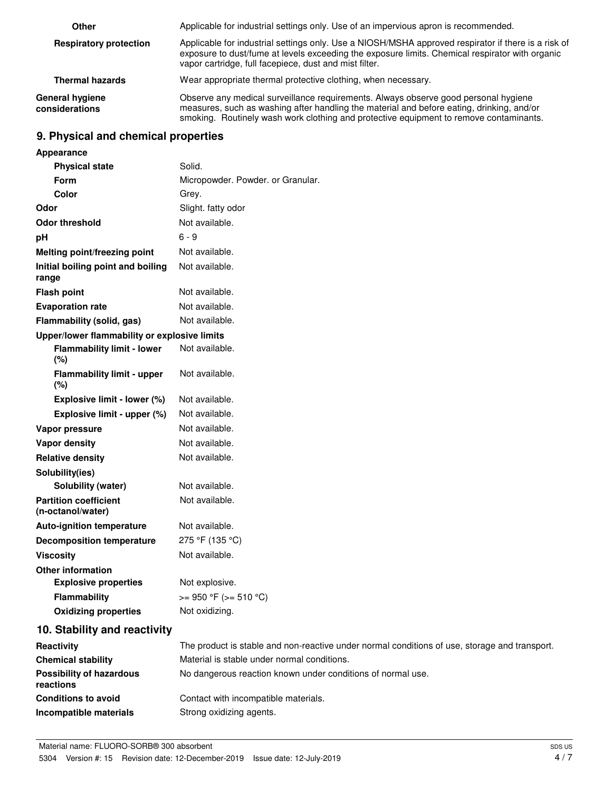| Other                             | Applicable for industrial settings only. Use of an impervious apron is recommended.                                                                                                                                                                                        |
|-----------------------------------|----------------------------------------------------------------------------------------------------------------------------------------------------------------------------------------------------------------------------------------------------------------------------|
| <b>Respiratory protection</b>     | Applicable for industrial settings only. Use a NIOSH/MSHA approved respirator if there is a risk of<br>exposure to dust/fume at levels exceeding the exposure limits. Chemical respirator with organic<br>vapor cartridge, full facepiece, dust and mist filter.           |
| <b>Thermal hazards</b>            | Wear appropriate thermal protective clothing, when necessary.                                                                                                                                                                                                              |
| General hygiene<br>considerations | Observe any medical surveillance requirements. Always observe good personal hygiene<br>measures, such as washing after handling the material and before eating, drinking, and/or<br>smoking. Routinely wash work clothing and protective equipment to remove contaminants. |

# **9. Physical and chemical properties**

| Appearance                                        |                                                                                               |
|---------------------------------------------------|-----------------------------------------------------------------------------------------------|
| <b>Physical state</b>                             | Solid.                                                                                        |
| <b>Form</b>                                       | Micropowder. Powder. or Granular.                                                             |
| Color                                             | Grey.                                                                                         |
| Odor                                              | Slight. fatty odor                                                                            |
| <b>Odor threshold</b>                             | Not available.                                                                                |
| рH                                                | $6 - 9$                                                                                       |
| Melting point/freezing point                      | Not available.                                                                                |
| Initial boiling point and boiling<br>range        | Not available.                                                                                |
| <b>Flash point</b>                                | Not available.                                                                                |
| <b>Evaporation rate</b>                           | Not available.                                                                                |
| Flammability (solid, gas)                         | Not available.                                                                                |
| Upper/lower flammability or explosive limits      |                                                                                               |
| <b>Flammability limit - lower</b><br>(%)          | Not available.                                                                                |
| <b>Flammability limit - upper</b><br>(%)          | Not available.                                                                                |
| Explosive limit - lower (%)                       | Not available.                                                                                |
| Explosive limit - upper (%)                       | Not available.                                                                                |
| Vapor pressure                                    | Not available.                                                                                |
| <b>Vapor density</b>                              | Not available.                                                                                |
| <b>Relative density</b>                           | Not available.                                                                                |
| Solubility(ies)                                   |                                                                                               |
| <b>Solubility (water)</b>                         | Not available.                                                                                |
| <b>Partition coefficient</b><br>(n-octanol/water) | Not available.                                                                                |
| <b>Auto-ignition temperature</b>                  | Not available.                                                                                |
| <b>Decomposition temperature</b>                  | 275 °F (135 °C)                                                                               |
| <b>Viscosity</b>                                  | Not available.                                                                                |
| <b>Other information</b>                          |                                                                                               |
| <b>Explosive properties</b>                       | Not explosive.                                                                                |
| <b>Flammability</b>                               | $>= 950 °F (= 510 °C)$                                                                        |
| <b>Oxidizing properties</b>                       | Not oxidizing.                                                                                |
| 10. Stability and reactivity                      |                                                                                               |
| Reactivity                                        | The product is stable and non-reactive under normal conditions of use, storage and transport. |
| <b>Chemical stability</b>                         | Material is stable under normal conditions.                                                   |
| <b>Possibility of hazardous</b><br>reactions      | No dangerous reaction known under conditions of normal use.                                   |
| <b>Conditions to avoid</b>                        | Contact with incompatible materials.                                                          |
| Incompatible materials                            | Strong oxidizing agents.                                                                      |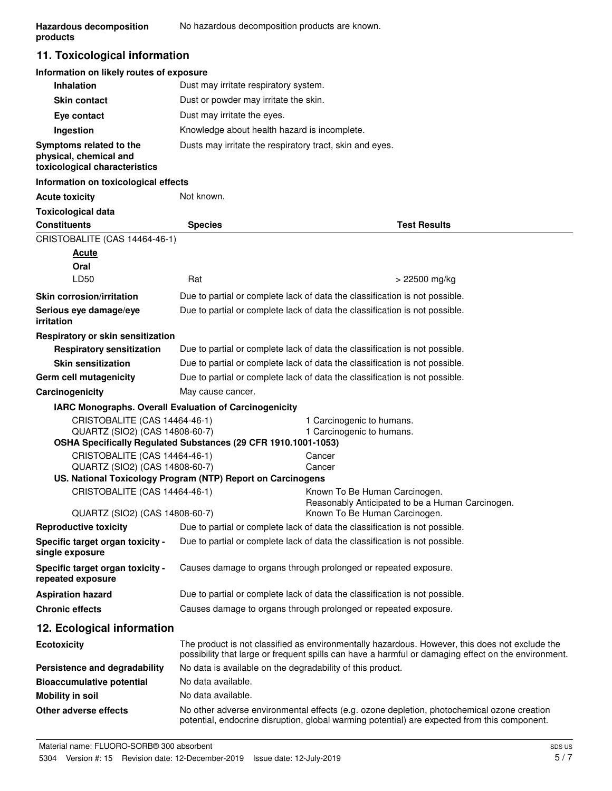# **11. Toxicological information**

# **Information on likely routes of exposure**

| <b>Inhalation</b>                                                                  | Dust may irritate respiratory system.                    |
|------------------------------------------------------------------------------------|----------------------------------------------------------|
| <b>Skin contact</b>                                                                | Dust or powder may irritate the skin.                    |
| Eye contact                                                                        | Dust may irritate the eyes.                              |
| Ingestion                                                                          | Knowledge about health hazard is incomplete.             |
| Symptoms related to the<br>physical, chemical and<br>toxicological characteristics | Dusts may irritate the respiratory tract, skin and eyes. |

#### **Information on toxicological effects**

| <b>Acute toxicity</b>                                           | Not known.                                                                  |                                                                                                                                                                                                       |
|-----------------------------------------------------------------|-----------------------------------------------------------------------------|-------------------------------------------------------------------------------------------------------------------------------------------------------------------------------------------------------|
| <b>Toxicological data</b>                                       |                                                                             |                                                                                                                                                                                                       |
| <b>Constituents</b>                                             | <b>Species</b>                                                              | <b>Test Results</b>                                                                                                                                                                                   |
| CRISTOBALITE (CAS 14464-46-1)                                   |                                                                             |                                                                                                                                                                                                       |
| <b>Acute</b>                                                    |                                                                             |                                                                                                                                                                                                       |
| Oral                                                            |                                                                             |                                                                                                                                                                                                       |
| LD50                                                            | Rat                                                                         | $> 22500$ mg/kg                                                                                                                                                                                       |
| <b>Skin corrosion/irritation</b>                                |                                                                             | Due to partial or complete lack of data the classification is not possible.                                                                                                                           |
| Serious eye damage/eye<br>irritation                            |                                                                             | Due to partial or complete lack of data the classification is not possible.                                                                                                                           |
| Respiratory or skin sensitization                               |                                                                             |                                                                                                                                                                                                       |
| <b>Respiratory sensitization</b>                                |                                                                             | Due to partial or complete lack of data the classification is not possible.                                                                                                                           |
| <b>Skin sensitization</b>                                       |                                                                             | Due to partial or complete lack of data the classification is not possible.                                                                                                                           |
| Germ cell mutagenicity                                          |                                                                             | Due to partial or complete lack of data the classification is not possible.                                                                                                                           |
| Carcinogenicity                                                 | May cause cancer.                                                           |                                                                                                                                                                                                       |
| IARC Monographs. Overall Evaluation of Carcinogenicity          |                                                                             |                                                                                                                                                                                                       |
| CRISTOBALITE (CAS 14464-46-1)<br>QUARTZ (SIO2) (CAS 14808-60-7) | OSHA Specifically Regulated Substances (29 CFR 1910.1001-1053)              | 1 Carcinogenic to humans.<br>1 Carcinogenic to humans.                                                                                                                                                |
| CRISTOBALITE (CAS 14464-46-1)<br>QUARTZ (SIO2) (CAS 14808-60-7) |                                                                             | Cancer<br>Cancer                                                                                                                                                                                      |
|                                                                 | US. National Toxicology Program (NTP) Report on Carcinogens                 |                                                                                                                                                                                                       |
| CRISTOBALITE (CAS 14464-46-1)                                   |                                                                             | Known To Be Human Carcinogen.<br>Reasonably Anticipated to be a Human Carcinogen.                                                                                                                     |
| QUARTZ (SIO2) (CAS 14808-60-7)                                  |                                                                             | Known To Be Human Carcinogen.                                                                                                                                                                         |
| <b>Reproductive toxicity</b>                                    |                                                                             | Due to partial or complete lack of data the classification is not possible.                                                                                                                           |
| Specific target organ toxicity -<br>single exposure             |                                                                             | Due to partial or complete lack of data the classification is not possible.                                                                                                                           |
| Specific target organ toxicity -<br>repeated exposure           | Causes damage to organs through prolonged or repeated exposure.             |                                                                                                                                                                                                       |
| <b>Aspiration hazard</b>                                        | Due to partial or complete lack of data the classification is not possible. |                                                                                                                                                                                                       |
| <b>Chronic effects</b>                                          | Causes damage to organs through prolonged or repeated exposure.             |                                                                                                                                                                                                       |
| 12. Ecological information                                      |                                                                             |                                                                                                                                                                                                       |
| <b>Ecotoxicity</b>                                              |                                                                             | The product is not classified as environmentally hazardous. However, this does not exclude the<br>possibility that large or frequent spills can have a harmful or damaging effect on the environment. |
| Persistence and degradability                                   | No data is available on the degradability of this product.                  |                                                                                                                                                                                                       |
| <b>Bioaccumulative potential</b>                                | No data available.                                                          |                                                                                                                                                                                                       |
| <b>Mobility in soil</b>                                         | No data available.                                                          |                                                                                                                                                                                                       |
| Other adverse effects                                           |                                                                             | No other adverse environmental effects (e.g. ozone depletion, photochemical ozone creation<br>potential, endocrine disruption, global warming potential) are expected from this component.            |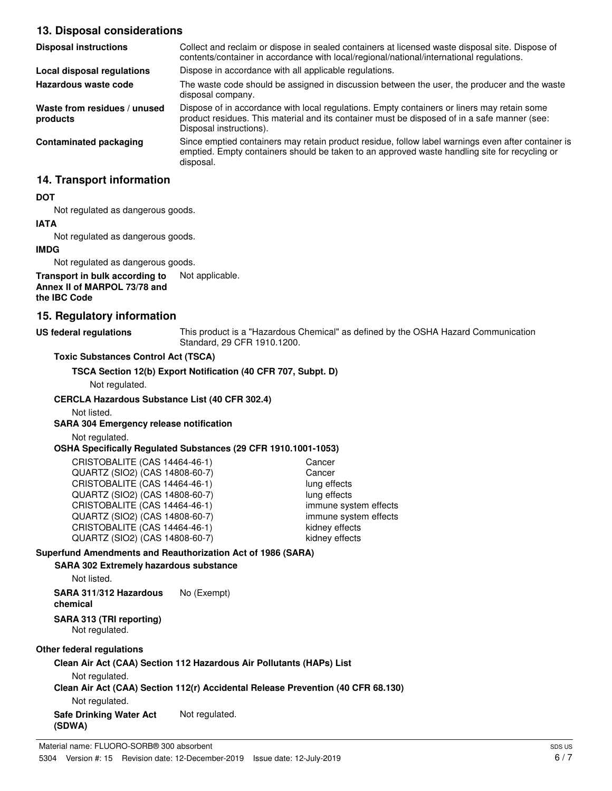# **13. Disposal considerations**

| <b>Disposal instructions</b>             | Collect and reclaim or dispose in sealed containers at licensed waste disposal site. Dispose of<br>contents/container in accordance with local/regional/national/international regulations.                            |
|------------------------------------------|------------------------------------------------------------------------------------------------------------------------------------------------------------------------------------------------------------------------|
| Local disposal regulations               | Dispose in accordance with all applicable regulations.                                                                                                                                                                 |
| Hazardous waste code                     | The waste code should be assigned in discussion between the user, the producer and the waste<br>disposal company.                                                                                                      |
| Waste from residues / unused<br>products | Dispose of in accordance with local regulations. Empty containers or liners may retain some<br>product residues. This material and its container must be disposed of in a safe manner (see:<br>Disposal instructions). |
| Contaminated packaging                   | Since emptied containers may retain product residue, follow label warnings even after container is<br>emptied. Empty containers should be taken to an approved waste handling site for recycling or<br>disposal.       |

# **14. Transport information**

# **DOT**

Not regulated as dangerous goods.

# **IATA**

Not regulated as dangerous goods.

# **IMDG**

Not regulated as dangerous goods.

#### **Transport in bulk according to** Not applicable. **Annex II of MARPOL 73/78 and the IBC Code**

# **15. Regulatory information**

# **US federal regulations**

This product is a "Hazardous Chemical" as defined by the OSHA Hazard Communication Standard, 29 CFR 1910.1200.

# **Toxic Substances Control Act (TSCA)**

**TSCA Section 12(b) Export Notification (40 CFR 707, Subpt. D)**

Not regulated.

# **CERCLA Hazardous Substance List (40 CFR 302.4)**

Not listed.

# **SARA 304 Emergency release notification**

Not regulated.

# **OSHA Specifically Regulated Substances (29 CFR 1910.1001-1053)**

| CRISTOBALITE (CAS 14464-46-1)  | Cancer                |
|--------------------------------|-----------------------|
| QUARTZ (SIO2) (CAS 14808-60-7) | Cancer                |
| CRISTOBALITE (CAS 14464-46-1)  | lung effects          |
| QUARTZ (SIO2) (CAS 14808-60-7) | lung effects          |
| CRISTOBALITE (CAS 14464-46-1)  | immune system effects |
| QUARTZ (SIO2) (CAS 14808-60-7) | immune system effects |
| CRISTOBALITE (CAS 14464-46-1)  | kidney effects        |
| QUARTZ (SIO2) (CAS 14808-60-7) | kidney effects        |

# **Superfund Amendments and Reauthorization Act of 1986 (SARA)**

# **SARA 302 Extremely hazardous substance**

Not listed.

**SARA 311/312 Hazardous** No (Exempt) **chemical**

# **SARA 313 (TRI reporting)**

Not regulated.

# **Other federal regulations**

#### **Clean Air Act (CAA) Section 112 Hazardous Air Pollutants (HAPs) List**

Not regulated.

# **Clean Air Act (CAA) Section 112(r) Accidental Release Prevention (40 CFR 68.130)**

Not regulated.

**Safe Drinking Water Act** Not regulated. **(SDWA)**